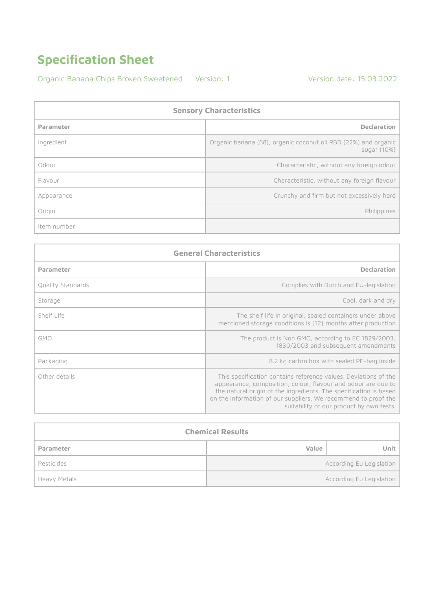Organic Banana Chips Broken Sweetened Version: 1 Version date: 15.03.2022

**Sensory Characteristics Parameter Declaration** Ingredient Organic banana (68), organic coconut oil RBD (22%) and organic sugar (10%) Odour **Characteristic**, without any foreign odour Flavour **Characteristic**, without any foreign flavour Appearance **Crunchy and firm but not excessively hard** Origin Philippines Item number

| <b>General Characteristics</b> |                                                                                                                                                                                                                                                                                                                     |
|--------------------------------|---------------------------------------------------------------------------------------------------------------------------------------------------------------------------------------------------------------------------------------------------------------------------------------------------------------------|
| Parameter                      | <b>Declaration</b>                                                                                                                                                                                                                                                                                                  |
| Quality Standards              | Complies with Dutch and EU-legislation                                                                                                                                                                                                                                                                              |
| Storage                        | Cool, dark and dry                                                                                                                                                                                                                                                                                                  |
| Shelf Life                     | The shelf life in original, sealed containers under above<br>mentioned storage conditions is [12] months after production                                                                                                                                                                                           |
| <b>GMO</b>                     | The product is Non GMO, according to EC 1829/2003,<br>1830/2003 and subsequent amendments                                                                                                                                                                                                                           |
| Packaging                      | 8.2 kg carton box with sealed PE-bag inside                                                                                                                                                                                                                                                                         |
| Other details                  | This specification contains reference values. Deviations of the<br>appearance, composition, colour, flavour and odour are due to<br>the natural origin of the ingredients. The specification is based<br>on the information of our suppliers. We recommend to proof the<br>suitability of our product by own tests. |

| <b>Chemical Results</b> |       |                          |
|-------------------------|-------|--------------------------|
| Parameter               | Value | Unit.                    |
| Pesticides              |       | According Eu Legislation |
| Heavy Metals            |       | According Eu Legislation |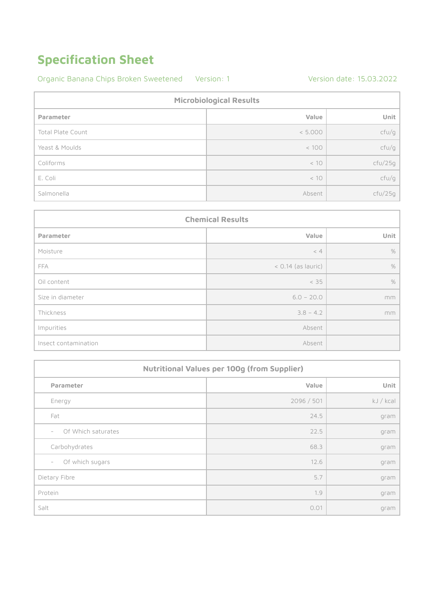#### Organic Banana Chips Broken Sweetened Version: 1 Version date: 15.03.2022

| <b>Microbiological Results</b> |         |         |
|--------------------------------|---------|---------|
| Parameter                      | Value   | Unit    |
| <b>Total Plate Count</b>       | < 5.000 | cfU/g   |
| Yeast & Moulds                 | < 100   | cfU/g   |
| Coliforms                      | < 10    | ctu/25g |
| E. Coli                        | < 10    | cfU/g   |
| Salmonella                     | Absent  | ctu/25g |

| <b>Chemical Results</b> |                      |      |
|-------------------------|----------------------|------|
| Parameter               | Value                | Unit |
| Moisture                | < 4                  | $\%$ |
| FFA                     | $<$ 0.14 (as lauric) | $\%$ |
| Oil content             | < 35                 | $\%$ |
| Size in diameter        | $6.0 - 20.0$         | mm   |
| Thickness               | $3.8 - 4.2$          | mm   |
| Impurities              | Absent               |      |
| Insect contamination    | Absent               |      |

| <b>Nutritional Values per 100g (from Supplier)</b> |            |           |
|----------------------------------------------------|------------|-----------|
| Parameter                                          | Value      | Unit      |
| Energy                                             | 2096 / 501 | kJ / kcal |
| Fat                                                | 24.5       | gram      |
| Of Which saturates<br>$\overline{\phantom{a}}$     | 22.5       | gram      |
| Carbohydrates                                      | 68.3       | gram      |
| Of which sugars<br>$\overline{\phantom{a}}$        | 12.6       | gram      |
| Dietary Fibre                                      | 5.7        | gram      |
| Protein                                            | 1.9        | gram      |
| Salt                                               | 0.01       | gram      |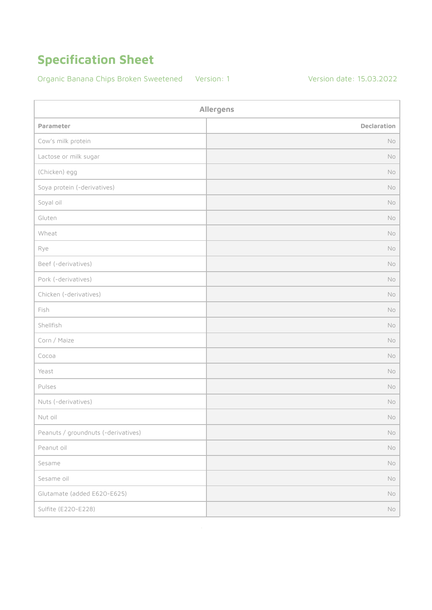Organic Banana Chips Broken Sweetened Version: 1 Version date: 15.03.2022

| Allergens                           |               |
|-------------------------------------|---------------|
| Parameter                           | Declaration   |
| Cow's milk protein                  | No            |
| Lactose or milk sugar               | No            |
| (Chicken) egg                       | No            |
| Soya protein (-derivatives)         | No            |
| Soyal oil                           | No            |
| Gluten                              | No            |
| Wheat                               | No            |
| Rye                                 | No            |
| Beef (-derivatives)                 | No            |
| Pork (-derivatives)                 | No            |
| Chicken (-derivatives)              | No            |
| Fish                                | No            |
| Shellfish                           | No            |
| Corn / Maize                        | No            |
| Сосоа                               | No            |
| Yeast                               | No            |
| Pulses                              | No            |
| Nuts (-derivatives)                 | No            |
| Nut oil                             | No            |
| Peanuts / groundnuts (-derivatives) | $\mathsf{No}$ |
| Peanut oil                          | $\mathsf{No}$ |
| Sesame                              | No            |
| Sesame oil                          | $\mathsf{No}$ |
| Glutamate (added E620-E625)         | $\mathsf{No}$ |
| Sulfite (E220-E228)                 | $\mathsf{No}$ |